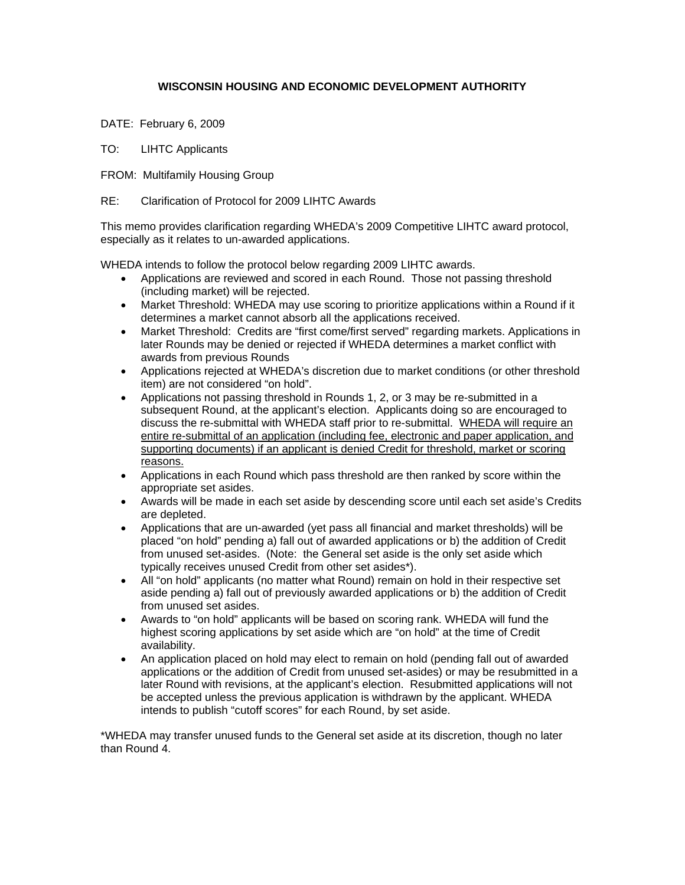## **WISCONSIN HOUSING AND ECONOMIC DEVELOPMENT AUTHORITY**

- DATE: February 6, 2009
- TO: LIHTC Applicants
- FROM: Multifamily Housing Group
- RE: Clarification of Protocol for 2009 LIHTC Awards

This memo provides clarification regarding WHEDA's 2009 Competitive LIHTC award protocol, especially as it relates to un-awarded applications.

WHEDA intends to follow the protocol below regarding 2009 LIHTC awards.

- Applications are reviewed and scored in each Round. Those not passing threshold (including market) will be rejected.
- Market Threshold: WHEDA may use scoring to prioritize applications within a Round if it determines a market cannot absorb all the applications received.
- Market Threshold: Credits are "first come/first served" regarding markets. Applications in later Rounds may be denied or rejected if WHEDA determines a market conflict with awards from previous Rounds
- Applications rejected at WHEDA's discretion due to market conditions (or other threshold item) are not considered "on hold".
- Applications not passing threshold in Rounds 1, 2, or 3 may be re-submitted in a subsequent Round, at the applicant's election. Applicants doing so are encouraged to discuss the re-submittal with WHEDA staff prior to re-submittal. WHEDA will require an entire re-submittal of an application (including fee, electronic and paper application, and supporting documents) if an applicant is denied Credit for threshold, market or scoring reasons.
- Applications in each Round which pass threshold are then ranked by score within the appropriate set asides.
- Awards will be made in each set aside by descending score until each set aside's Credits are depleted.
- Applications that are un-awarded (yet pass all financial and market thresholds) will be placed "on hold" pending a) fall out of awarded applications or b) the addition of Credit from unused set-asides. (Note: the General set aside is the only set aside which typically receives unused Credit from other set asides\*).
- All "on hold" applicants (no matter what Round) remain on hold in their respective set aside pending a) fall out of previously awarded applications or b) the addition of Credit from unused set asides.
- Awards to "on hold" applicants will be based on scoring rank. WHEDA will fund the highest scoring applications by set aside which are "on hold" at the time of Credit availability.
- An application placed on hold may elect to remain on hold (pending fall out of awarded applications or the addition of Credit from unused set-asides) or may be resubmitted in a later Round with revisions, at the applicant's election. Resubmitted applications will not be accepted unless the previous application is withdrawn by the applicant. WHEDA intends to publish "cutoff scores" for each Round, by set aside.

\*WHEDA may transfer unused funds to the General set aside at its discretion, though no later than Round 4.